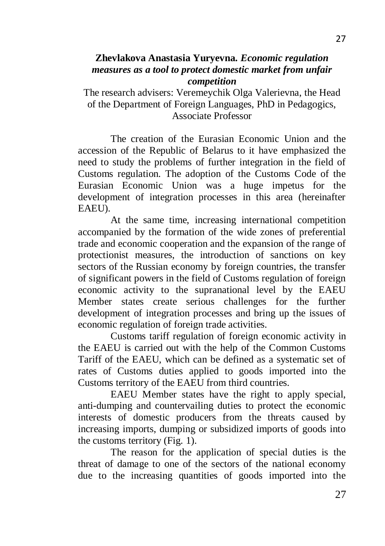## **Zhevlakova Anastasia Yuryevna.** *Economic regulation measures as a tool to protect domestic market from unfair competition*

The research advisers: Veremeychik Olga Valerievna, the Head of the Department of Foreign Languages, PhD in Pedagogics, Associate Professor

The creation of the Eurasian Economic Union and the accession of the Republic of Belarus to it have emphasized the need to study the problems of further integration in the field of Customs regulation. The adoption of the Customs Code of the Eurasian Economic Union was a huge impetus for the development of integration processes in this area (hereinafter EAEU).

At the same time, increasing international competition accompanied by the formation of the wide zones of preferential trade and economic cooperation and the expansion of the range of protectionist measures, the introduction of sanctions on key sectors of the Russian economy by foreign countries, the transfer of significant powers in the field of Customs regulation of foreign economic activity to the supranational level by the EAEU Member states create serious challenges for the further development of integration processes and bring up the issues of economic regulation of foreign trade activities.

Customs tariff regulation of foreign economic activity in the EAEU is carried out with the help of the Common Customs Tariff of the EAEU, which can be defined as a systematic set of rates of Customs duties applied to goods imported into the Customs territory of the EAEU from third countries.

EAEU Member states have the right to apply special, anti-dumping and countervailing duties to protect the economic interests of domestic producers from the threats caused by increasing imports, dumping or subsidized imports of goods into the customs territory (Fig. 1).

The reason for the application of special duties is the threat of damage to one of the sectors of the national economy due to the increasing quantities of goods imported into the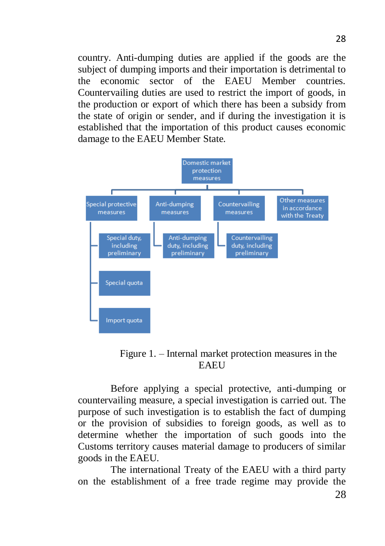country. Anti-dumping duties are applied if the goods are the subject of dumping imports and their importation is detrimental to the economic sector of the EAEU Member countries. Countervailing duties are used to restrict the import of goods, in the production or export of which there has been a subsidy from the state of origin or sender, and if during the investigation it is established that the importation of this product causes economic damage to the EAEU Member State.



Figure 1. – Internal market protection measures in the **EAEU** 

Before applying a special protective, anti-dumping or countervailing measure, a special investigation is carried out. The purpose of such investigation is to establish the fact of dumping or the provision of subsidies to foreign goods, as well as to determine whether the importation of such goods into the Customs territory causes material damage to producers of similar goods in the EAEU.

The international Treaty of the EAEU with a third party on the establishment of a free trade regime may provide the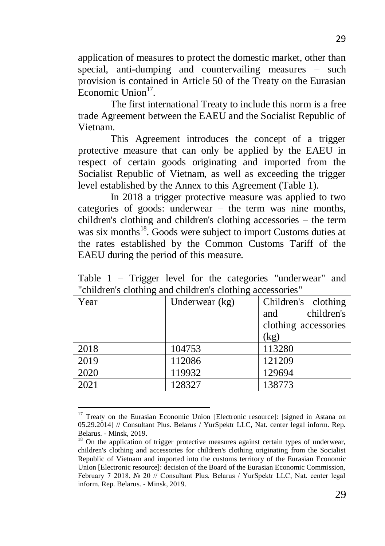application of measures to protect the domestic market, other than special, anti-dumping and countervailing measures – such provision is contained in Article 50 of the Treaty on the Eurasian Economic Union<sup>17</sup>.

The first international Treaty to include this norm is a free trade Agreement between the EAEU and the Socialist Republic of Vietnam.

This Agreement introduces the concept of a trigger protective measure that can only be applied by the EAEU in respect of certain goods originating and imported from the Socialist Republic of Vietnam, as well as exceeding the trigger level established by the Annex to this Agreement (Table 1).

In 2018 a trigger protective measure was applied to two categories of goods: underwear – the term was nine months, children's clothing and children's clothing accessories – the term was six months<sup>18</sup>. Goods were subject to import Customs duties at the rates established by the Common Customs Tariff of the EAEU during the period of this measure.

Table 1 – Trigger level for the categories "underwear" and "children's clothing and children's clothing accessories"

| Year | Underwear (kg) | Children's clothing  |
|------|----------------|----------------------|
|      |                | children's<br>and    |
|      |                | clothing accessories |
|      |                | (kg)                 |
| 2018 | 104753         | 113280               |
| 2019 | 112086         | 121209               |
| 2020 | 119932         | 129694               |
| 2021 | 128327         | 138773               |
|      |                |                      |

<sup>1</sup> <sup>17</sup> Treaty on the Eurasian Economic Union [Electronic resource]: [signed in Astana on 05.29.2014] // Consultant Plus. Belarus / YurSpektr LLC, Nat. center legal inform. Rep. Belarus. - Minsk, 2019.

 $18$  On the application of trigger protective measures against certain types of underwear, children's clothing and accessories for children's clothing originating from the Socialist Republic of Vietnam and imported into the customs territory of the Eurasian Economic Union [Electronic resource]: decision of the Board of the Eurasian Economic Commission, February 7 2018, № 20 // Consultant Plus. Belarus / YurSpektr LLC, Nat. center legal inform. Rep. Belarus. - Minsk, 2019.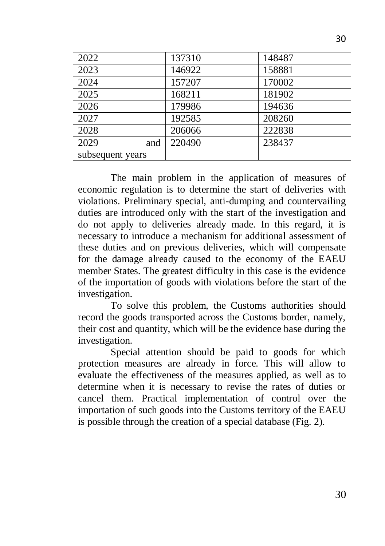| 2022             | 137310 | 148487 |
|------------------|--------|--------|
| 2023             | 146922 | 158881 |
| 2024             | 157207 | 170002 |
| 2025             | 168211 | 181902 |
| 2026             | 179986 | 194636 |
| 2027             | 192585 | 208260 |
| 2028             | 206066 | 222838 |
| 2029<br>and      | 220490 | 238437 |
| subsequent years |        |        |

The main problem in the application of measures of economic regulation is to determine the start of deliveries with violations. Preliminary special, anti-dumping and countervailing duties are introduced only with the start of the investigation and do not apply to deliveries already made. In this regard, it is necessary to introduce a mechanism for additional assessment of these duties and on previous deliveries, which will compensate for the damage already caused to the economy of the EAEU member States. The greatest difficulty in this case is the evidence of the importation of goods with violations before the start of the investigation.

To solve this problem, the Customs authorities should record the goods transported across the Customs border, namely, their cost and quantity, which will be the evidence base during the investigation.

Special attention should be paid to goods for which protection measures are already in force. This will allow to evaluate the effectiveness of the measures applied, as well as to determine when it is necessary to revise the rates of duties or cancel them. Practical implementation of control over the importation of such goods into the Customs territory of the EAEU is possible through the creation of a special database (Fig. 2).